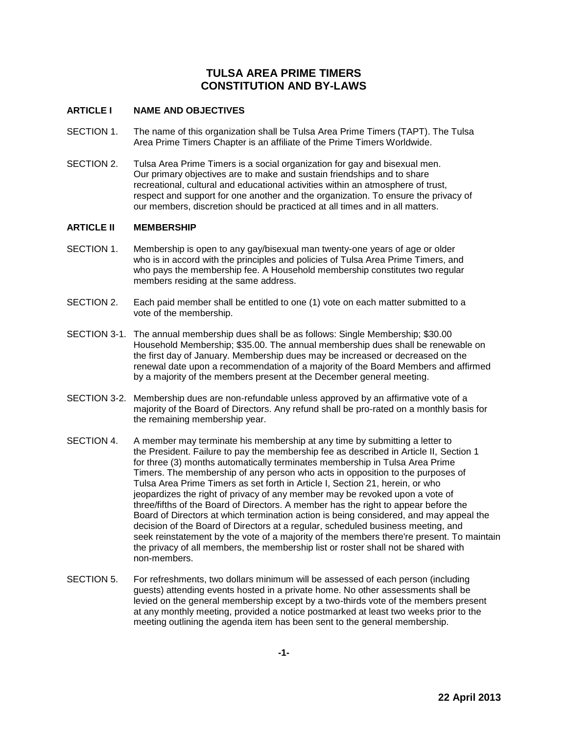# **TULSA AREA PRIME TIMERS CONSTITUTION AND BY-LAWS**

# **ARTICLE I NAME AND OBJECTIVES**

- SECTION 1. The name of this organization shall be Tulsa Area Prime Timers (TAPT). The Tulsa Area Prime Timers Chapter is an affiliate of the Prime Timers Worldwide.
- SECTION 2. Tulsa Area Prime Timers is a social organization for gay and bisexual men. Our primary objectives are to make and sustain friendships and to share recreational, cultural and educational activities within an atmosphere of trust, respect and support for one another and the organization. To ensure the privacy of our members, discretion should be practiced at all times and in all matters.

## **ARTICLE II MEMBERSHIP**

- SECTION 1. Membership is open to any gay/bisexual man twenty-one years of age or older who is in accord with the principles and policies of Tulsa Area Prime Timers, and who pays the membership fee. A Household membership constitutes two regular members residing at the same address.
- SECTION 2. Each paid member shall be entitled to one (1) vote on each matter submitted to a vote of the membership.
- SECTION 3-1. The annual membership dues shall be as follows: Single Membership; \$30.00 Household Membership; \$35.00. The annual membership dues shall be renewable on the first day of January. Membership dues may be increased or decreased on the renewal date upon a recommendation of a majority of the Board Members and affirmed by a majority of the members present at the December general meeting.
- SECTION 3-2. Membership dues are non-refundable unless approved by an affirmative vote of a majority of the Board of Directors. Any refund shall be pro-rated on a monthly basis for the remaining membership year.
- SECTION 4. A member may terminate his membership at any time by submitting a letter to the President. Failure to pay the membership fee as described in Article II, Section 1 for three (3) months automatically terminates membership in Tulsa Area Prime Timers. The membership of any person who acts in opposition to the purposes of Tulsa Area Prime Timers as set forth in Article I, Section 21, herein, or who jeopardizes the right of privacy of any member may be revoked upon a vote of three/fifths of the Board of Directors. A member has the right to appear before the Board of Directors at which termination action is being considered, and may appeal the decision of the Board of Directors at a regular, scheduled business meeting, and seek reinstatement by the vote of a majority of the members there're present. To maintain the privacy of all members, the membership list or roster shall not be shared with non-members.
- SECTION 5. For refreshments, two dollars minimum will be assessed of each person (including guests) attending events hosted in a private home. No other assessments shall be levied on the general membership except by a two-thirds vote of the members present at any monthly meeting, provided a notice postmarked at least two weeks prior to the meeting outlining the agenda item has been sent to the general membership.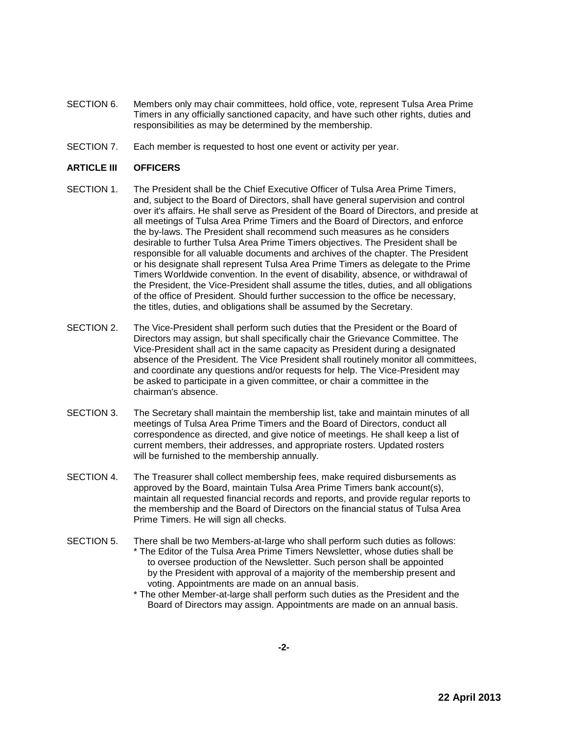- SECTION 6. Members only may chair committees, hold office, vote, represent Tulsa Area Prime Timers in any officially sanctioned capacity, and have such other rights, duties and responsibilities as may be determined by the membership.
- SECTION 7. Each member is requested to host one event or activity per year.

## **ARTICLE III OFFICERS**

- SECTION 1. The President shall be the Chief Executive Officer of Tulsa Area Prime Timers, and, subject to the Board of Directors, shall have general supervision and control over it's affairs. He shall serve as President of the Board of Directors, and preside at all meetings of Tulsa Area Prime Timers and the Board of Directors, and enforce the by-laws. The President shall recommend such measures as he considers desirable to further Tulsa Area Prime Timers objectives. The President shall be responsible for all valuable documents and archives of the chapter. The President or his designate shall represent Tulsa Area Prime Timers as delegate to the Prime Timers Worldwide convention. In the event of disability, absence, or withdrawal of the President, the Vice-President shall assume the titles, duties, and all obligations of the office of President. Should further succession to the office be necessary, the titles, duties, and obligations shall be assumed by the Secretary.
- SECTION 2. The Vice-President shall perform such duties that the President or the Board of Directors may assign, but shall specifically chair the Grievance Committee. The Vice-President shall act in the same capacity as President during a designated absence of the President. The Vice President shall routinely monitor all committees, and coordinate any questions and/or requests for help. The Vice-President may be asked to participate in a given committee, or chair a committee in the chairman's absence.
- SECTION 3. The Secretary shall maintain the membership list, take and maintain minutes of all meetings of Tulsa Area Prime Timers and the Board of Directors, conduct all correspondence as directed, and give notice of meetings. He shall keep a list of current members, their addresses, and appropriate rosters. Updated rosters will be furnished to the membership annually.
- SECTION 4. The Treasurer shall collect membership fees, make required disbursements as approved by the Board, maintain Tulsa Area Prime Timers bank account(s), maintain all requested financial records and reports, and provide regular reports to the membership and the Board of Directors on the financial status of Tulsa Area Prime Timers. He will sign all checks.
- SECTION 5. There shall be two Members-at-large who shall perform such duties as follows: \* The Editor of the Tulsa Area Prime Timers Newsletter, whose duties shall be to oversee production of the Newsletter. Such person shall be appointed by the President with approval of a majority of the membership present and voting. Appointments are made on an annual basis.
	- \* The other Member-at-large shall perform such duties as the President and the Board of Directors may assign. Appointments are made on an annual basis.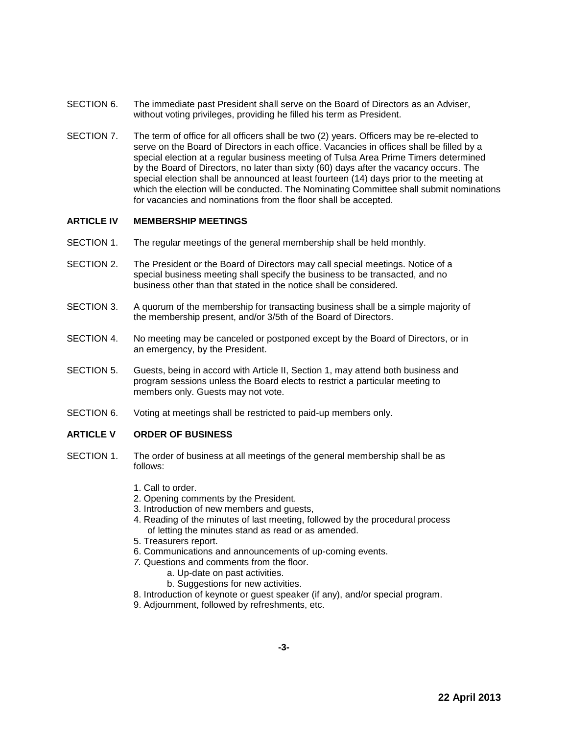- SECTION 6. The immediate past President shall serve on the Board of Directors as an Adviser, without voting privileges, providing he filled his term as President.
- SECTION 7. The term of office for all officers shall be two (2) years. Officers may be re-elected to serve on the Board of Directors in each office. Vacancies in offices shall be filled by a special election at a regular business meeting of Tulsa Area Prime Timers determined by the Board of Directors, no later than sixty (60) days after the vacancy occurs. The special election shall be announced at least fourteen (14) days prior to the meeting at which the election will be conducted. The Nominating Committee shall submit nominations for vacancies and nominations from the floor shall be accepted.

## **ARTICLE IV MEMBERSHIP MEETINGS**

- SECTION 1. The regular meetings of the general membership shall be held monthly.
- SECTION 2. The President or the Board of Directors may call special meetings. Notice of a special business meeting shall specify the business to be transacted, and no business other than that stated in the notice shall be considered.
- SECTION 3. A quorum of the membership for transacting business shall be a simple majority of the membership present, and/or 3/5th of the Board of Directors.
- SECTION 4. No meeting may be canceled or postponed except by the Board of Directors, or in an emergency, by the President.
- SECTION 5. Guests, being in accord with Article II, Section 1, may attend both business and program sessions unless the Board elects to restrict a particular meeting to members only. Guests may not vote.
- SECTION 6. Voting at meetings shall be restricted to paid-up members only.

## **ARTICLE V ORDER OF BUSINESS**

- SECTION 1. The order of business at all meetings of the general membership shall be as follows:
	- 1. Call to order.
	- 2. Opening comments by the President.
	- 3. Introduction of new members and guests,
	- 4. Reading of the minutes of last meeting, followed by the procedural process of letting the minutes stand as read or as amended.
	- 5. Treasurers report.
	- 6. Communications and announcements of up-coming events.
	- *7.* Questions and comments from the floor.
		- a. Up-date on past activities.
		- b. Suggestions for new activities.
	- 8. Introduction of keynote or guest speaker (if any), and/or special program.
	- 9. Adjournment, followed by refreshments, etc.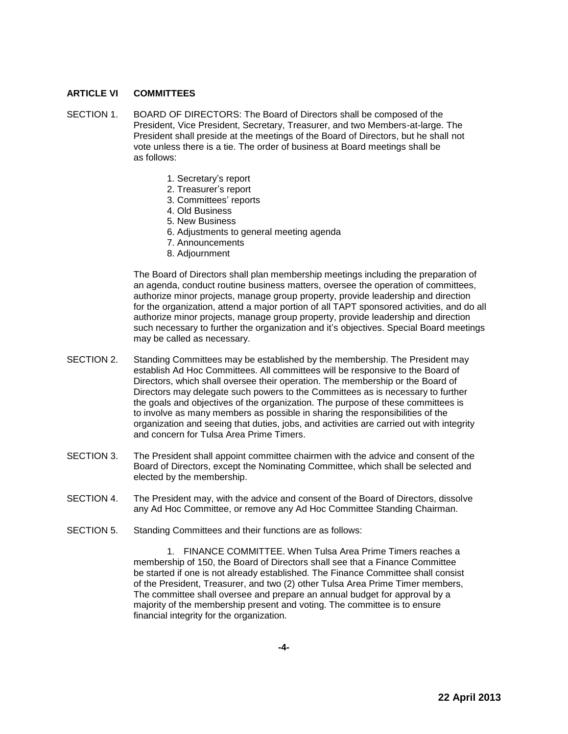## **ARTICLE VI COMMITTEES**

- SECTION 1. BOARD OF DIRECTORS: The Board of Directors shall be composed of the President, Vice President, Secretary, Treasurer, and two Members-at-large. The President shall preside at the meetings of the Board of Directors, but he shall not vote unless there is a tie. The order of business at Board meetings shall be as follows:
	- 1. Secretary's report
	- 2. Treasurer's report
	- 3. Committees' reports
	- 4. Old Business
	- 5. New Business
	- 6. Adjustments to general meeting agenda
	- 7. Announcements
	- 8. Adjournment

The Board of Directors shall plan membership meetings including the preparation of an agenda, conduct routine business matters, oversee the operation of committees, authorize minor projects, manage group property, provide leadership and direction for the organization, attend a major portion of all TAPT sponsored activities, and do all authorize minor projects, manage group property, provide leadership and direction such necessary to further the organization and it's objectives. Special Board meetings may be called as necessary.

- SECTION 2. Standing Committees may be established by the membership. The President may establish Ad Hoc Committees. All committees will be responsive to the Board of Directors, which shall oversee their operation. The membership or the Board of Directors may delegate such powers to the Committees as is necessary to further the goals and objectives of the organization. The purpose of these committees is to involve as many members as possible in sharing the responsibilities of the organization and seeing that duties, jobs, and activities are carried out with integrity and concern for Tulsa Area Prime Timers.
- SECTION 3. The President shall appoint committee chairmen with the advice and consent of the Board of Directors, except the Nominating Committee, which shall be selected and elected by the membership.
- SECTION 4. The President may, with the advice and consent of the Board of Directors, dissolve any Ad Hoc Committee, or remove any Ad Hoc Committee Standing Chairman.
- SECTION 5. Standing Committees and their functions are as follows:

1. FINANCE COMMITTEE. When Tulsa Area Prime Timers reaches a membership of 150, the Board of Directors shall see that a Finance Committee be started if one is not already established. The Finance Committee shall consist of the President, Treasurer, and two (2) other Tulsa Area Prime Timer members, The committee shall oversee and prepare an annual budget for approval by a majority of the membership present and voting. The committee is to ensure financial integrity for the organization.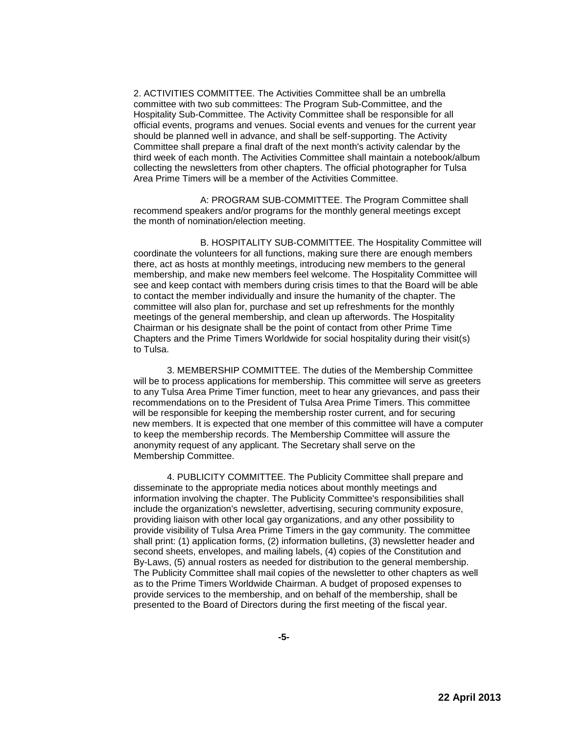2. ACTIVITIES COMMITTEE. The Activities Committee shall be an umbrella committee with two sub committees: The Program Sub-Committee, and the Hospitality Sub-Committee. The Activity Committee shall be responsible for all official events, programs and venues. Social events and venues for the current year should be planned well in advance, and shall be self-supporting. The Activity Committee shall prepare a final draft of the next month's activity calendar by the third week of each month. The Activities Committee shall maintain a notebook/album collecting the newsletters from other chapters. The official photographer for Tulsa Area Prime Timers will be a member of the Activities Committee.

A: PROGRAM SUB-COMMITTEE. The Program Committee shall recommend speakers and/or programs for the monthly general meetings except the month of nomination/election meeting.

B. HOSPITALITY SUB-COMMITTEE. The Hospitality Committee will coordinate the volunteers for all functions, making sure there are enough members there, act as hosts at monthly meetings, introducing new members to the general membership, and make new members feel welcome. The Hospitality Committee will see and keep contact with members during crisis times to that the Board will be able to contact the member individually and insure the humanity of the chapter. The committee will also plan for, purchase and set up refreshments for the monthly meetings of the general membership, and clean up afterwords. The Hospitality Chairman or his designate shall be the point of contact from other Prime Time Chapters and the Prime Timers Worldwide for social hospitality during their visit(s) to Tulsa.

3. MEMBERSHIP COMMITTEE. The duties of the Membership Committee will be to process applications for membership. This committee will serve as greeters to any Tulsa Area Prime Timer function, meet to hear any grievances, and pass their recommendations on to the President of Tulsa Area Prime Timers. This committee will be responsible for keeping the membership roster current, and for securing new members. It is expected that one member of this committee will have a computer to keep the membership records. The Membership Committee will assure the anonymity request of any applicant. The Secretary shall serve on the Membership Committee.

4. PUBLICITY COMMITTEE. The Publicity Committee shall prepare and disseminate to the appropriate media notices about monthly meetings and information involving the chapter. The Publicity Committee's responsibilities shall include the organization's newsletter, advertising, securing community exposure, providing liaison with other local gay organizations, and any other possibility to provide visibility of Tulsa Area Prime Timers in the gay community. The committee shall print: (1) application forms, (2) information bulletins, (3) newsletter header and second sheets, envelopes, and mailing labels, (4) copies of the Constitution and By-Laws, (5) annual rosters as needed for distribution to the general membership. The Publicity Committee shall mail copies of the newsletter to other chapters as well as to the Prime Timers Worldwide Chairman. A budget of proposed expenses to provide services to the membership, and on behalf of the membership, shall be presented to the Board of Directors during the first meeting of the fiscal year.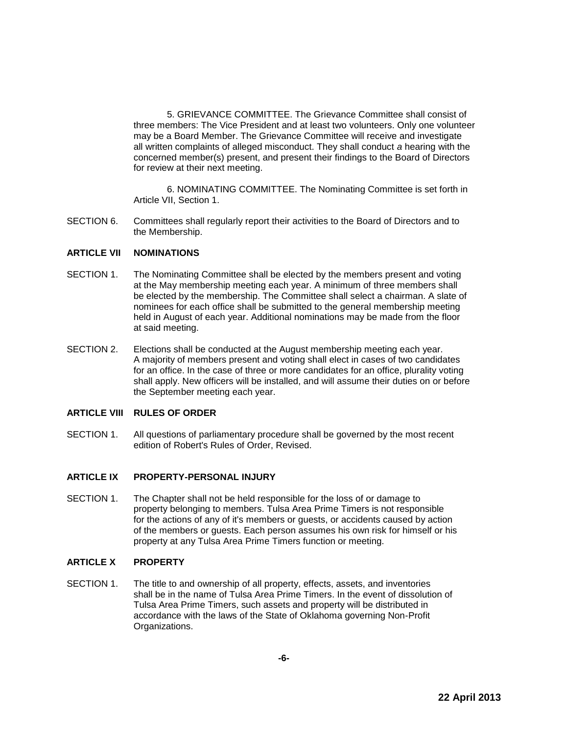5. GRIEVANCE COMMITTEE. The Grievance Committee shall consist of three members: The Vice President and at least two volunteers. Only one volunteer may be a Board Member. The Grievance Committee will receive and investigate all written complaints of alleged misconduct. They shall conduct *a* hearing with the concerned member(s) present, and present their findings to the Board of Directors for review at their next meeting.

6. NOMINATING COMMITTEE. The Nominating Committee is set forth in Article VII, Section 1.

SECTION 6. Committees shall regularly report their activities to the Board of Directors and to the Membership.

#### **ARTICLE VII NOMINATIONS**

- SECTION 1. The Nominating Committee shall be elected by the members present and voting at the May membership meeting each year. A minimum of three members shall be elected by the membership. The Committee shall select a chairman. A slate of nominees for each office shall be submitted to the general membership meeting held in August of each year. Additional nominations may be made from the floor at said meeting.
- SECTION 2. Elections shall be conducted at the August membership meeting each year. A majority of members present and voting shall elect in cases of two candidates for an office. In the case of three or more candidates for an office, plurality voting shall apply. New officers will be installed, and will assume their duties on or before the September meeting each year.

## **ARTICLE VIII RULES OF ORDER**

SECTION 1. All questions of parliamentary procedure shall be governed by the most recent edition of Robert's Rules of Order, Revised.

## **ARTICLE IX PROPERTY-PERSONAL INJURY**

SECTION 1. The Chapter shall not be held responsible for the loss of or damage to property belonging to members. Tulsa Area Prime Timers is not responsible for the actions of any of it's members or guests, or accidents caused by action of the members or guests. Each person assumes his own risk for himself or his property at any Tulsa Area Prime Timers function or meeting.

## **ARTICLE X PROPERTY**

SECTION 1. The title to and ownership of all property, effects, assets, and inventories shall be in the name of Tulsa Area Prime Timers. In the event of dissolution of Tulsa Area Prime Timers, such assets and property will be distributed in accordance with the laws of the State of Oklahoma governing Non-Profit Organizations.